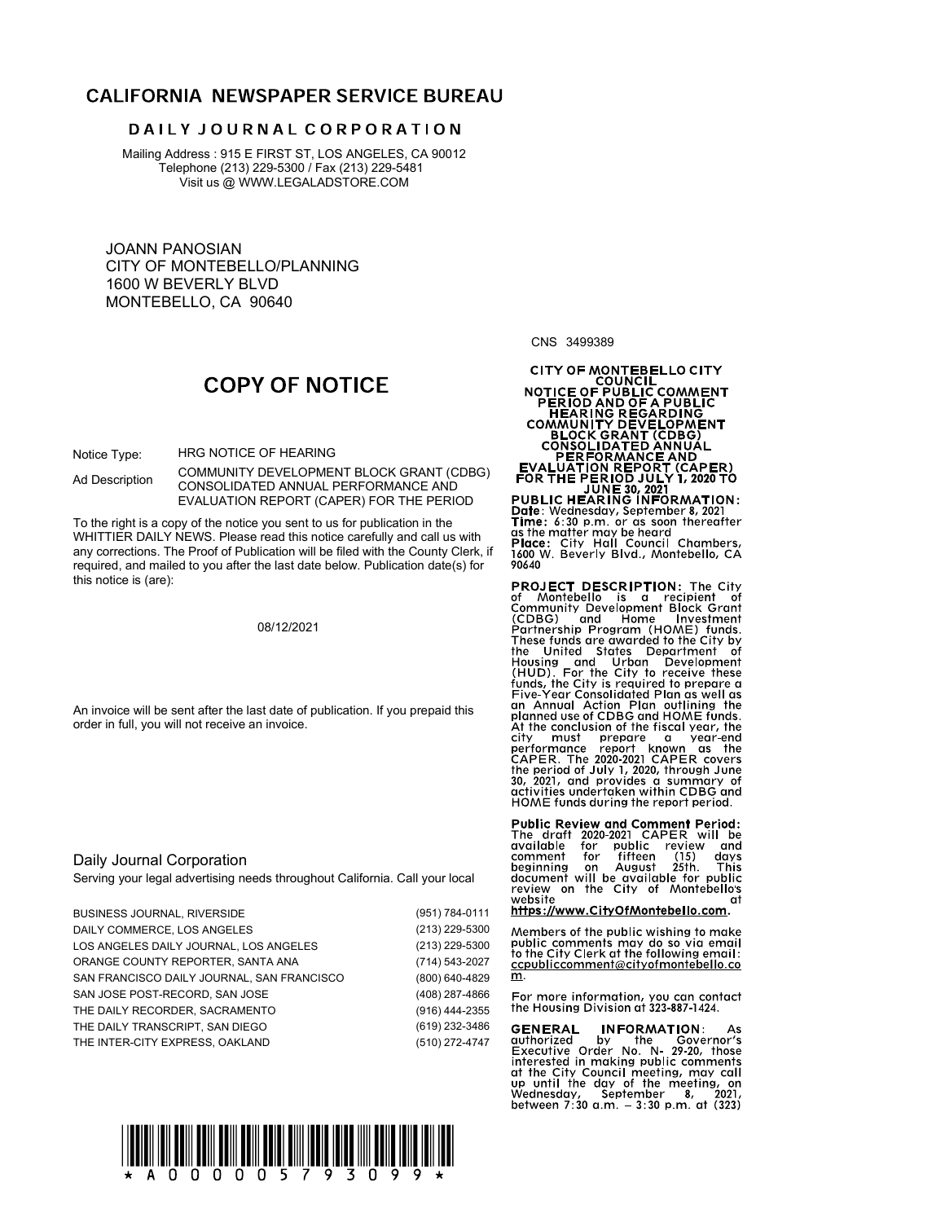# **CALIFORNIA NEWSPAPER SERVICE BUREAU**

## DAILY JOURNAL CORPORATION

Mailing Address : 915 E FIRST ST, LOS ANGELES, CA 90012 Telephone (213) 229-5300 / Fax (213) 229-5481 Visit us @ WWW.LEGALADSTORE.COM

JOANN PANOSIAN CITY OF MONTEBELLO/PLANNING 1600 W BEVERLY BLVD MONTEBELLO, CA 90640

CNS 3499389

# **COPY OF NOTICE**

Notice Type: HRG NOTICE OF HEARING

COMMUNITY DEVELOPMENT BLOCK GRANT (CDBG) Ad Description CONSOLIDATED ANNUAL PERFORMANCE AND **FOR THE PERIOD JULY 1, 2020 TO**<br>JUNE 30, 2021 EVALUATION REPORT (CAPER) FOR THE PERIOD

EVALUATION REPURT (CAPER) FOR THE PERIOD<br>To the right is a copy of the notice you sent to us for publication in the<br>WHITTIER DAILY NEWS. Please read this notice carefully and call us with<br>any corrections. The Proof of Publ WHITTIER DAILY NEWS. Please read this notice carefully and call us with any corrections. The Proof of Publication will be filed with the County Clerk, if  $\frac{1600 \text{ N}}{1600 \text{ N}}$ <br>required and mailed to you after the last date below. Publication date (s) for  $\frac{90640}{1600 \text{ N}}$ required, and mailed to you after the last date below. Publication date(s) for this notice is (are):

| <b>Public Review and Comment Period:</b><br>The draft 2020-2021 CAPER will be<br>available for<br>public review and<br>comment<br>fifteen<br>(15)<br>for<br>davs<br>August 25th.<br>This<br>beginning on<br>Serving your legal advertising needs throughout California. Call your local<br>document will be available for public<br>review on the City of Montebellos<br>website<br>αt<br>https://www.CityOfMontebello.com.<br>(951) 784-0111<br>(213) 229-5300<br>Members of the public wishing to make<br>public comments may do so via email<br>(213) 229-5300<br>to the City Clerk at the following email:<br>(714) 543-2027<br>ccpubliccomment@cityofmontebello.co<br>m.<br>(800) 640-4829<br>(408) 287-4866<br>For more information, you can contact<br>the Housing Division at 323-887-1424.<br>(916) 444-2355<br>(619) 232-3486<br><b>INFORMATION:</b><br><b>GENERAL</b><br>As<br>by the<br>Governor's<br>authorized<br>(510) 272-4747<br>Executive Order No. N 29-20, those<br>interested in making public comments<br>at the City Council meeting, may call<br>up until the day of the meeting, on<br>Wednesday, September 8, 2021,<br>between $7:30$ a.m. $-3:30$ p.m. at $(323)$ | An invoice will be sent after the last date of publication. If you prepaid this<br>order in full, you will not receive an invoice. | These funds are awarded to the City by<br>the United States Department of<br>Housing and Urban Development<br>(HUD). For the City to receive these<br>funds, the City is required to prepare a<br>Five-Year Consolidated Plan as well as<br>an Annual Action Plan outlining the<br>planned use of CDBG and HOME funds.<br>At the conclusion of the fiscal year, the<br>city must<br>prepare a year-end<br>performance report known as the<br>CAPER. The 2020-2021 CAPER covers<br>the period of July 1, 2020, through June<br>30, 2021, and provides a summary of<br>activities undertaken within CDBG and<br>HOME funds during the report period. |  |
|----------------------------------------------------------------------------------------------------------------------------------------------------------------------------------------------------------------------------------------------------------------------------------------------------------------------------------------------------------------------------------------------------------------------------------------------------------------------------------------------------------------------------------------------------------------------------------------------------------------------------------------------------------------------------------------------------------------------------------------------------------------------------------------------------------------------------------------------------------------------------------------------------------------------------------------------------------------------------------------------------------------------------------------------------------------------------------------------------------------------------------------------------------------------------------------------|------------------------------------------------------------------------------------------------------------------------------------|----------------------------------------------------------------------------------------------------------------------------------------------------------------------------------------------------------------------------------------------------------------------------------------------------------------------------------------------------------------------------------------------------------------------------------------------------------------------------------------------------------------------------------------------------------------------------------------------------------------------------------------------------|--|
|                                                                                                                                                                                                                                                                                                                                                                                                                                                                                                                                                                                                                                                                                                                                                                                                                                                                                                                                                                                                                                                                                                                                                                                              | Daily Journal Corporation                                                                                                          |                                                                                                                                                                                                                                                                                                                                                                                                                                                                                                                                                                                                                                                    |  |
|                                                                                                                                                                                                                                                                                                                                                                                                                                                                                                                                                                                                                                                                                                                                                                                                                                                                                                                                                                                                                                                                                                                                                                                              | <b>BUSINESS JOURNAL, RIVERSIDE</b>                                                                                                 |                                                                                                                                                                                                                                                                                                                                                                                                                                                                                                                                                                                                                                                    |  |
|                                                                                                                                                                                                                                                                                                                                                                                                                                                                                                                                                                                                                                                                                                                                                                                                                                                                                                                                                                                                                                                                                                                                                                                              | DAILY COMMERCE, LOS ANGELES                                                                                                        |                                                                                                                                                                                                                                                                                                                                                                                                                                                                                                                                                                                                                                                    |  |
|                                                                                                                                                                                                                                                                                                                                                                                                                                                                                                                                                                                                                                                                                                                                                                                                                                                                                                                                                                                                                                                                                                                                                                                              | LOS ANGELES DAILY JOURNAL, LOS ANGELES                                                                                             |                                                                                                                                                                                                                                                                                                                                                                                                                                                                                                                                                                                                                                                    |  |
|                                                                                                                                                                                                                                                                                                                                                                                                                                                                                                                                                                                                                                                                                                                                                                                                                                                                                                                                                                                                                                                                                                                                                                                              | ORANGE COUNTY REPORTER, SANTA ANA                                                                                                  |                                                                                                                                                                                                                                                                                                                                                                                                                                                                                                                                                                                                                                                    |  |
|                                                                                                                                                                                                                                                                                                                                                                                                                                                                                                                                                                                                                                                                                                                                                                                                                                                                                                                                                                                                                                                                                                                                                                                              | SAN FRANCISCO DAILY JOURNAL, SAN FRANCISCO                                                                                         |                                                                                                                                                                                                                                                                                                                                                                                                                                                                                                                                                                                                                                                    |  |
|                                                                                                                                                                                                                                                                                                                                                                                                                                                                                                                                                                                                                                                                                                                                                                                                                                                                                                                                                                                                                                                                                                                                                                                              | SAN JOSE POST-RECORD, SAN JOSE                                                                                                     |                                                                                                                                                                                                                                                                                                                                                                                                                                                                                                                                                                                                                                                    |  |
|                                                                                                                                                                                                                                                                                                                                                                                                                                                                                                                                                                                                                                                                                                                                                                                                                                                                                                                                                                                                                                                                                                                                                                                              | THE DAILY RECORDER, SACRAMENTO                                                                                                     |                                                                                                                                                                                                                                                                                                                                                                                                                                                                                                                                                                                                                                                    |  |
|                                                                                                                                                                                                                                                                                                                                                                                                                                                                                                                                                                                                                                                                                                                                                                                                                                                                                                                                                                                                                                                                                                                                                                                              | THE DAILY TRANSCRIPT, SAN DIEGO                                                                                                    |                                                                                                                                                                                                                                                                                                                                                                                                                                                                                                                                                                                                                                                    |  |
|                                                                                                                                                                                                                                                                                                                                                                                                                                                                                                                                                                                                                                                                                                                                                                                                                                                                                                                                                                                                                                                                                                                                                                                              | THE INTER-CITY EXPRESS, OAKLAND                                                                                                    |                                                                                                                                                                                                                                                                                                                                                                                                                                                                                                                                                                                                                                                    |  |



# CITY OF MONTEBELLO CITY<br>
COUNCIL<br>
NOTICE OF PUBLIC COMMENT<br>
PERIOD AND OF A PUBLIC<br>
COMMUNITY DEVELOPMENT<br>
COMMUNITY DEVELOPMENT<br>
COMMUNITY DEVELOPMENT<br>
PERFORMANCE AND<br>
FUALUATION REPORT (CAPER)<br>
FOR THE PERIOD JULY 1, 20

**PROJECT DESCRIPTION:** The City<br>of Montebello is a recipient of Home<br>Community Development Block Grant<br>CDBG) and Home Investment<br>Partnership Program (HOME) funds.<br>These funds are awarded to the City by<br>the Unites These fun